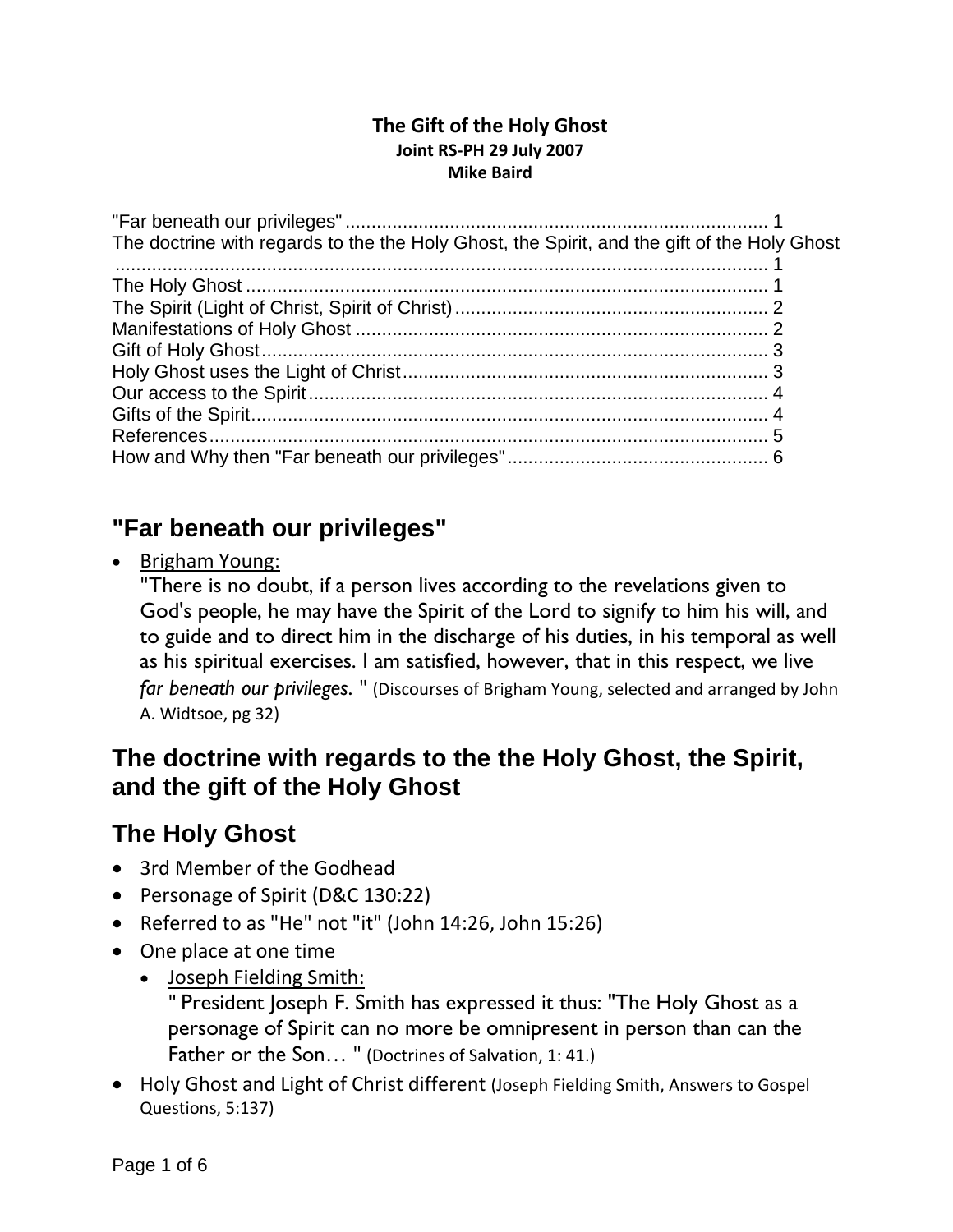#### **The Gift of the Holy Ghost Joint RS-PH 29 July 2007 Mike Baird**

| The doctrine with regards to the the Holy Ghost, the Spirit, and the gift of the Holy Ghost |  |
|---------------------------------------------------------------------------------------------|--|
|                                                                                             |  |
|                                                                                             |  |
|                                                                                             |  |
|                                                                                             |  |
|                                                                                             |  |
|                                                                                             |  |
|                                                                                             |  |
|                                                                                             |  |
|                                                                                             |  |
|                                                                                             |  |

## <span id="page-0-0"></span>**"Far beneath our privileges"**

• Brigham Young:

"There is no doubt, if a person lives according to the revelations given to God's people, he may have the Spirit of the Lord to signify to him his will, and to guide and to direct him in the discharge of his duties, in his temporal as well as his spiritual exercises. I am satisfied, however, that in this respect, we live *far beneath our privileges*. " (Discourses of Brigham Young, selected and arranged by John A. Widtsoe, pg 32)

## <span id="page-0-1"></span>**The doctrine with regards to the the Holy Ghost, the Spirit, and the gift of the Holy Ghost**

## <span id="page-0-2"></span>**The Holy Ghost**

- 3rd Member of the Godhead
- Personage of Spirit (D&C 130:22)
- Referred to as "He" not "it" (John 14:26, John 15:26)
- One place at one time
	- Joseph Fielding Smith:

" President Joseph F. Smith has expressed it thus: "The Holy Ghost as a personage of Spirit can no more be omnipresent in person than can the Father or the Son... " (Doctrines of Salvation, 1: 41.)

• Holy Ghost and Light of Christ different (Joseph Fielding Smith, Answers to Gospel Questions, 5:137)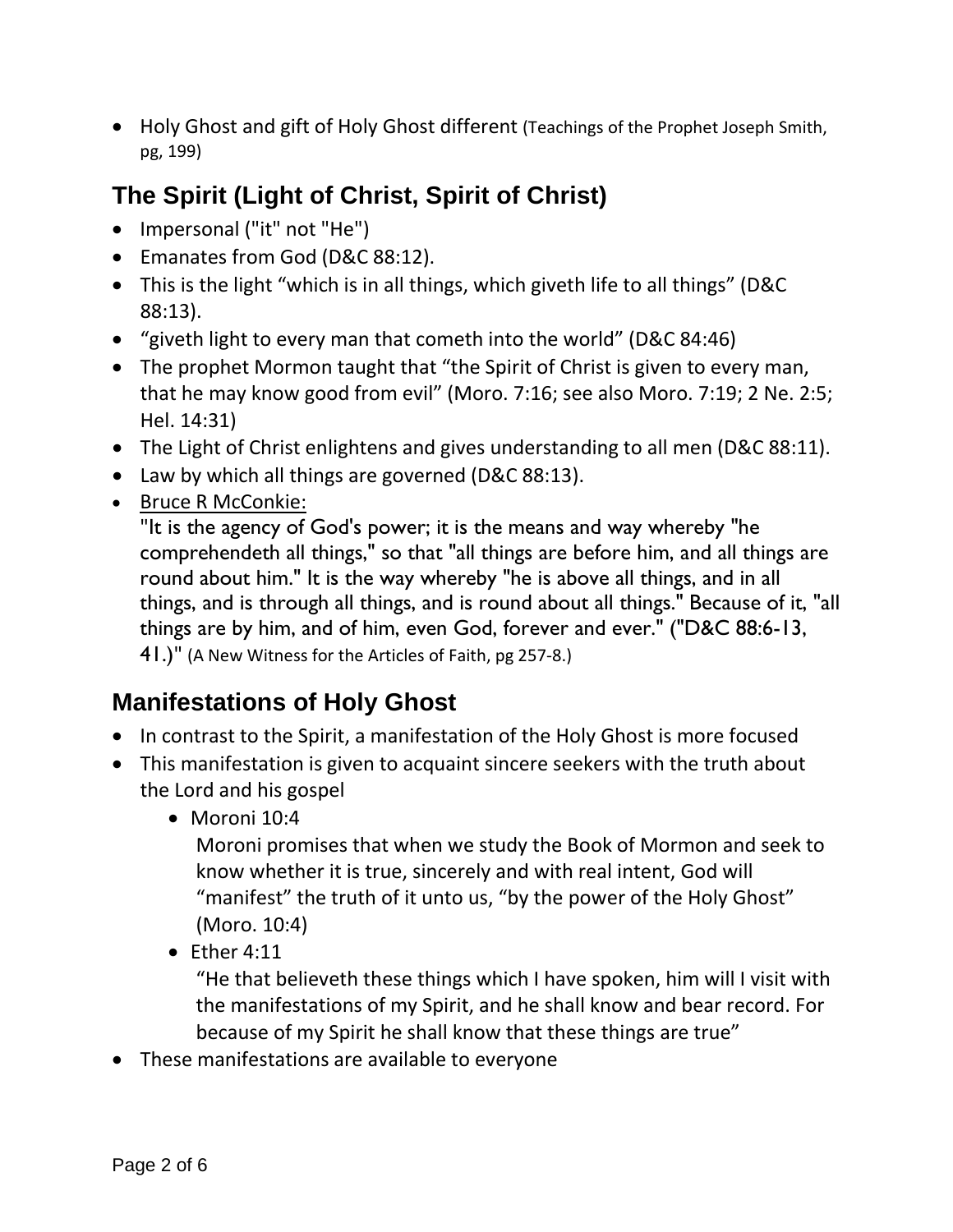• Holy Ghost and gift of Holy Ghost different (Teachings of the Prophet Joseph Smith, pg, 199)

# <span id="page-1-0"></span>**The Spirit (Light of Christ, Spirit of Christ)**

- Impersonal ("it" not "He")
- Emanates from God (D&C 88:12).
- This is the light "which is in all things, which giveth life to all things" (D&C 88:13).
- "giveth light to every man that cometh into the world" (D&C 84:46)
- The prophet Mormon taught that "the Spirit of Christ is given to every man, that he may know good from evil" (Moro. 7:16; see also Moro. 7:19; 2 Ne. 2:5; Hel. 14:31)
- The Light of Christ enlightens and gives understanding to all men (D&C 88:11).
- Law by which all things are governed (D&C 88:13).
- Bruce R McConkie:

"It is the agency of God's power; it is the means and way whereby "he comprehendeth all things," so that "all things are before him, and all things are round about him." It is the way whereby "he is above all things, and in all things, and is through all things, and is round about all things." Because of it, "all things are by him, and of him, even God, forever and ever." ("D&C 88:6-13, 41.)" (A New Witness for the Articles of Faith, pg 257-8.)

# <span id="page-1-1"></span>**Manifestations of Holy Ghost**

- In contrast to the Spirit, a manifestation of the Holy Ghost is more focused
- This manifestation is given to acquaint sincere seekers with the truth about the Lord and his gospel
	- Moroni 10:4

Moroni promises that when we study the Book of Mormon and seek to know whether it is true, sincerely and with real intent, God will "manifest" the truth of it unto us, "by the power of the Holy Ghost" (Moro. 10:4)

 $\bullet$  Ether 4:11

"He that believeth these things which I have spoken, him will I visit with the manifestations of my Spirit, and he shall know and bear record. For because of my Spirit he shall know that these things are true"

• These manifestations are available to everyone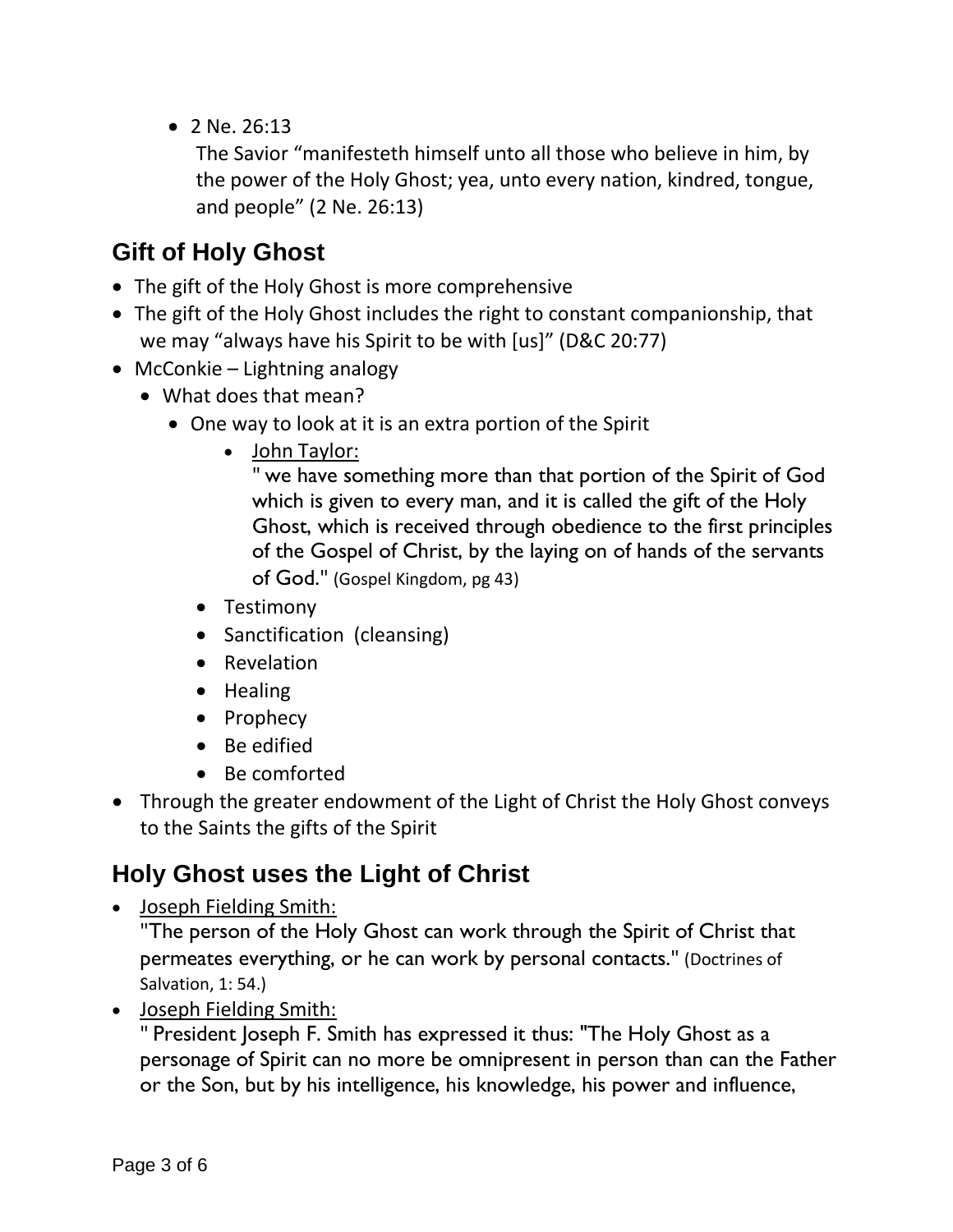• 2 Ne. 26:13

The Savior "manifesteth himself unto all those who believe in him, by the power of the Holy Ghost; yea, unto every nation, kindred, tongue, and people" (2 Ne. 26:13)

## <span id="page-2-0"></span>**Gift of Holy Ghost**

- The gift of the Holy Ghost is more comprehensive
- The gift of the Holy Ghost includes the right to constant companionship, that we may "always have his Spirit to be with [us]" (D&C 20:77)
- McConkie Lightning analogy
	- What does that mean?
		- One way to look at it is an extra portion of the Spirit
			- John Taylor:

" we have something more than that portion of the Spirit of God which is given to every man, and it is called the gift of the Holy Ghost, which is received through obedience to the first principles of the Gospel of Christ, by the laying on of hands of the servants of God." (Gospel Kingdom, pg 43)

- Testimony
- Sanctification (cleansing)
- Revelation
- Healing
- Prophecy
- Be edified
- Be comforted
- Through the greater endowment of the Light of Christ the Holy Ghost conveys to the Saints the gifts of the Spirit

## <span id="page-2-1"></span>**Holy Ghost uses the Light of Christ**

• Joseph Fielding Smith:

"The person of the Holy Ghost can work through the Spirit of Christ that permeates everything, or he can work by personal contacts." (Doctrines of Salvation, 1: 54.)

• Joseph Fielding Smith:

" President Joseph F. Smith has expressed it thus: "The Holy Ghost as a personage of Spirit can no more be omnipresent in person than can the Father or the Son, but by his intelligence, his knowledge, his power and influence,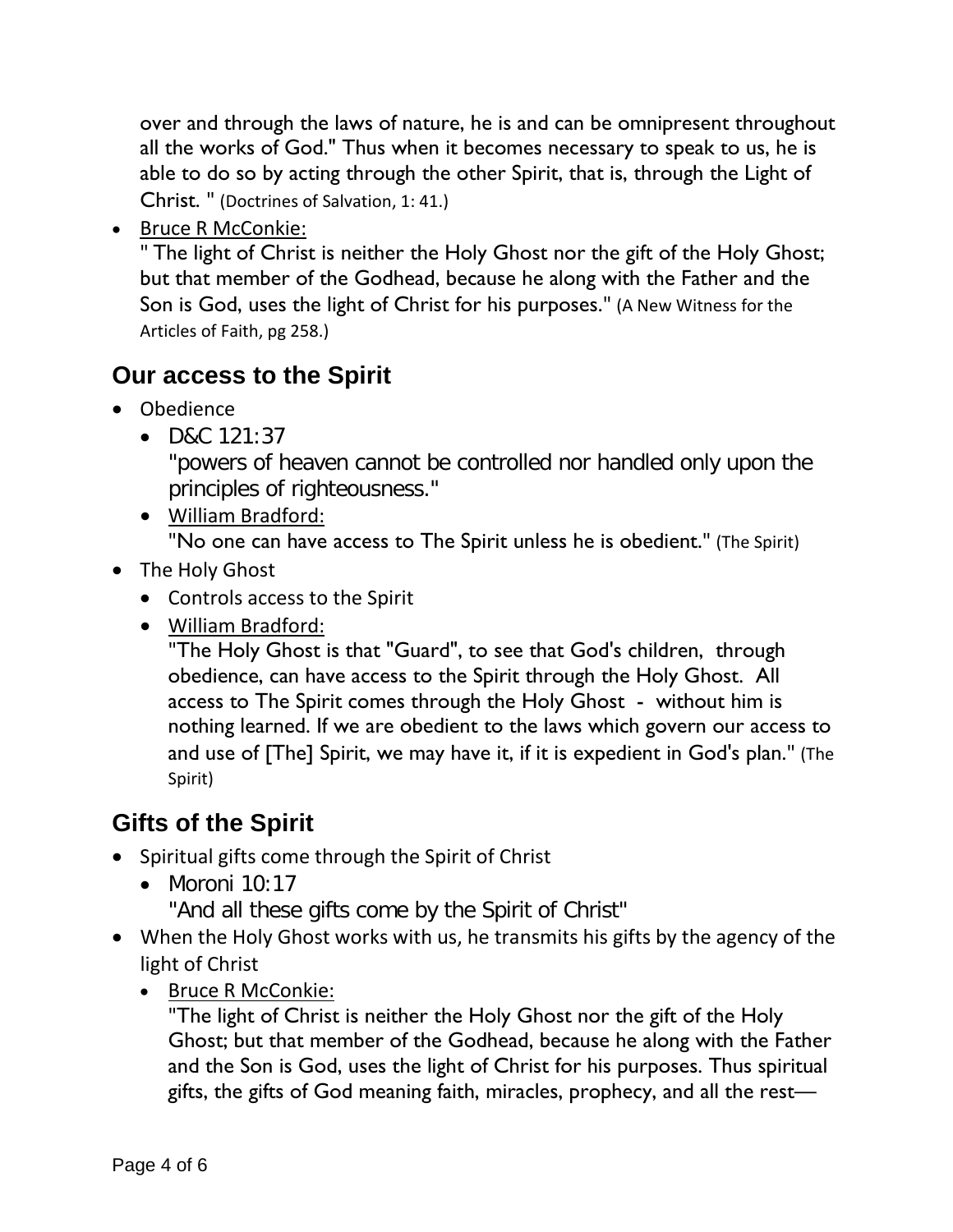over and through the laws of nature, he is and can be omnipresent throughout all the works of God." Thus when it becomes necessary to speak to us, he is able to do so by acting through the other Spirit, that is, through the Light of Christ. " (Doctrines of Salvation, 1: 41.)

• Bruce R McConkie:

" The light of Christ is neither the Holy Ghost nor the gift of the Holy Ghost; but that member of the Godhead, because he along with the Father and the Son is God, uses the light of Christ for his purposes." (A New Witness for the Articles of Faith, pg 258.)

# <span id="page-3-0"></span>**Our access to the Spirit**

- Obedience
	- D&C 121:37

"powers of heaven cannot be controlled nor handled only upon the principles of righteousness."

• William Bradford:

"No one can have access to The Spirit unless he is obedient." (The Spirit)

- The Holy Ghost
	- Controls access to the Spirit
	- William Bradford:

"The Holy Ghost is that "Guard", to see that God's children, through obedience, can have access to the Spirit through the Holy Ghost. All access to The Spirit comes through the Holy Ghost - without him is nothing learned. If we are obedient to the laws which govern our access to and use of [The] Spirit, we may have it, if it is expedient in God's plan." (The Spirit)

# <span id="page-3-1"></span>**Gifts of the Spirit**

- Spiritual gifts come through the Spirit of Christ
	- $\bullet$  Moroni 10:17

"And all these gifts come by the Spirit of Christ"

- When the Holy Ghost works with us, he transmits his gifts by the agency of the light of Christ
	- Bruce R McConkie:

"The light of Christ is neither the Holy Ghost nor the gift of the Holy Ghost; but that member of the Godhead, because he along with the Father and the Son is God, uses the light of Christ for his purposes. Thus spiritual gifts, the gifts of God meaning faith, miracles, prophecy, and all the rest—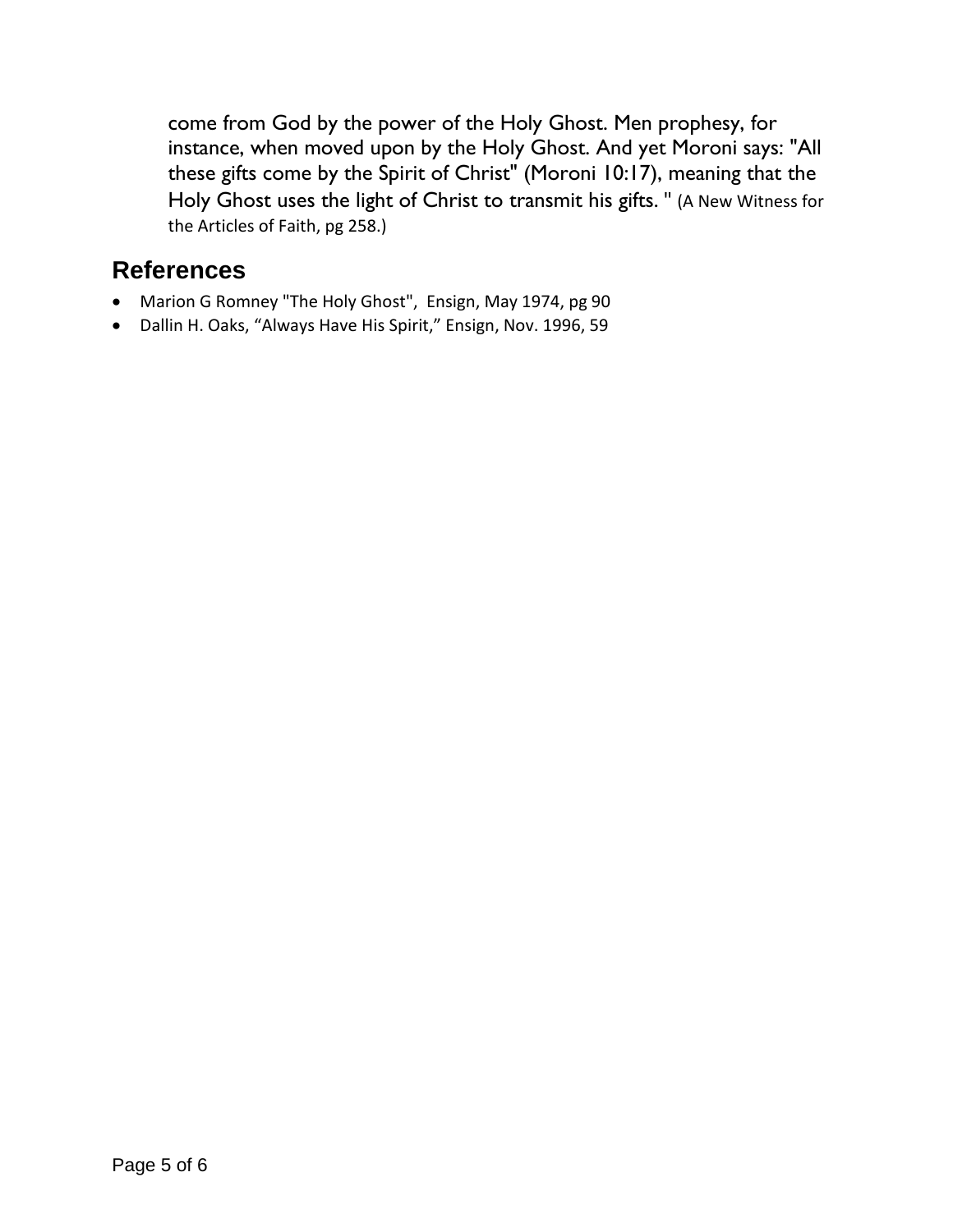come from God by the power of the Holy Ghost. Men prophesy, for instance, when moved upon by the Holy Ghost. And yet Moroni says: "All these gifts come by the Spirit of Christ" (Moroni 10:17), meaning that the Holy Ghost uses the light of Christ to transmit his gifts. " (A New Witness for the Articles of Faith, pg 258.)

## <span id="page-4-0"></span>**References**

- Marion G Romney "The Holy Ghost", Ensign, May 1974, pg 90
- Dallin H. Oaks, "Always Have His Spirit," Ensign, Nov. 1996, 59